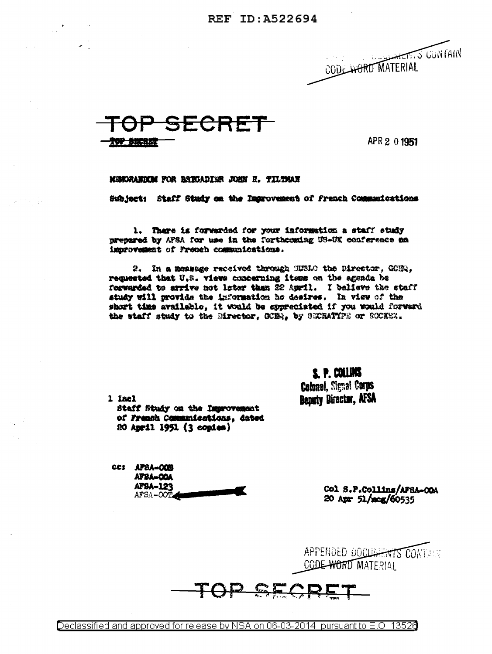REF ID: A522694





APR 2 0 1951

MEMORANTEM FOR BATGADING JOHN H. TILTMAN

Subject: Staff Study on the Improvement of Franch Communications

1. There is forwarded for your information a staff study prepared by AFSA for use in the forthcoming US-UK conference an improvement of French communications.

2. In a measage received through MUSIO the Director, GORQ, requested that U.S. views concerning items on the agenda be forwarded to arrive not later than 22 April. I balisve the staff study will provide the information he desires. In view of the short time available, it would be appreciated if you would forward the staff study to the Director. OCHR. by SECRATIFE or ROCKEX.

> S. P. COLLINS **Colonel, Signal Corps** Benuty Director, AFSA

1 Incl Staff Study on the Improvement of French Communications, dated 20 April 1951 (3 copies)

cc: APSA-OOB AFBA-OOA AFSA-123 AFSA-OOT

Col S.P.Collins/AFSA-OOA 20 Apr 51/meg/60535

APPENDED DOCUMENTS CONTAIN CODE WORD MATERIAL

 $C = 1$ 

Declassified and approved for release by NSA on 06-03-2014 pursuant to E.O. 13526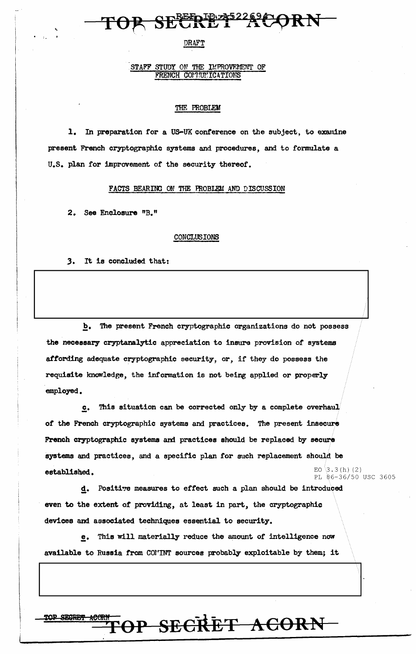## **EEPIPE**

#### **DRAFT**

#### STAFF STUDY ON THE IMPROVEMENT OF FRENCH COMMUNICATIONS

#### THE PROBLEM

1. In preparation for a US-UK conference on the subject, to examine present French cryptographic systems and procedures, and to formulate a U.S. plan for improvement of the security thereof.

#### FACTS BEARING ON THE PROBLEM AND DISCUSSION

2. See Enclosure "B."

#### CONCLUSIONS

#### 3. It is concluded that:

 $\underline{\mathbf{b}}$ . The present French cryptographic organizations do not possess the necessary cryptanalytic appreciation to insure provision of systems affording adequate cryptographic security, or, if they do possess the requisite knowledge, the information is not being applied or properly employed.

This situation can be corrected only by a complete overhaul  $c_{\star}$ of the French cryptographic systems and practices. The present insecure French cryptographic systems and practices should be replaced by secure systems and practices, and a specific plan for such replacement should be EO  $(3.3(h)$  (2) established. PL 86-36/50 USC 3605

d. Positive measures to effect such a plan should be introduced even to the extent of providing, at least in part, the cryptographic devices and associated techniques essential to security.

e. This will materially reduce the amount of intelligence now available to Russia from COMINT sources probably exploitable by them; it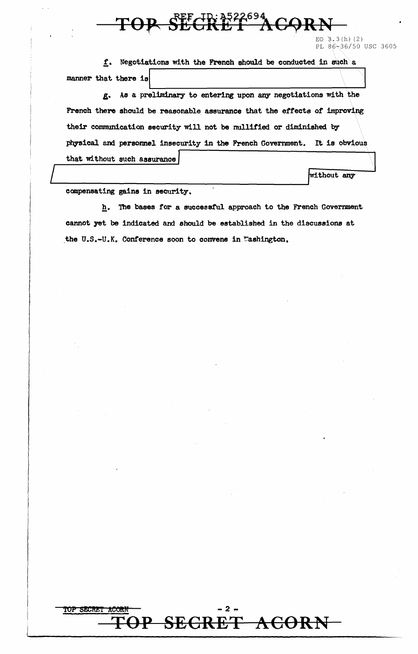

EO  $3,3(h)$  (2) PL 86-36/50 USC 3605

f. Negotiations with the French should be conducted in such a manner that there is

As a preliminary to entering upon any negotiations with the g. French there should be reasonable assurance that the effects of improving their communication security will not be mullified or diminished by physical and personnel insecurity in the French Government. It is obvious that without such assurance

without any

compensating gains in security.

TOP SECRET

h. The bases for a successful approach to the French Government cannot yet be indicated and should be established in the discussions at the U.S.-U.K. Conference soon to convene in Washington.

SECRET ACORN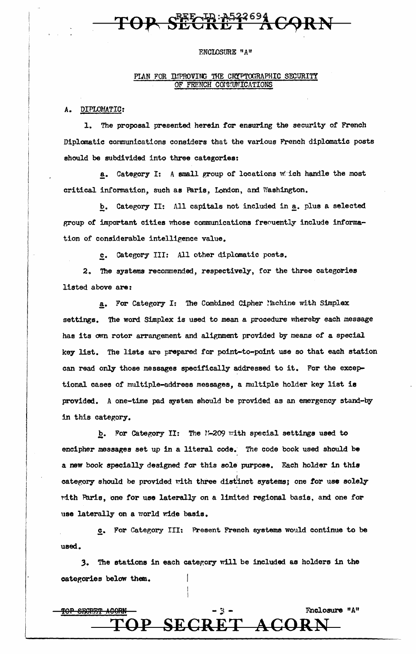## SECER-A522694

#### ENCLOSURE "A"

#### PIAN FOR DEPROVING THE CRYPTOGRAPHIC SECURITY OF FRENCH COITUNICATIONS

A. DIPLOMATIC:

1. The proposal presented herein for ensuring the security of French Diplomatic communications considers that the various French diplomatic posts ehould be subdivided into three categories:

a. Category I: A small group of locations which handle the most critical information, such as Paris, London, am Washington.

b. Category II: All capitals not included in a. plus a selected group of important cities whose communications frequently include information of considerable intelligence value.

c. Category III: All other diplomatic posts.

2. The systems recommended, respectively, for the three categories listed above are:

a. For Category I: The Combined Cipher ! achine with Simplex settings. The word Simplex is used to mean a procedure whereby each message has its own rotor arrangement and alignment provided by means of a special key list. The lists are prepared for point-to-point use so that each station can read only those messages specifically addressed to it. For the exceptional cases of multiple-address messages, a multiple holder key list is provided. A one-time pad system should be provided as an emergency stand-by in this category.

b. For Category II: The N-209 with special settings used to encipher messages set up in a literal code. The code book used should be a new book specially designed for this sole purpose. Each holder in this category should be provided with three distinct systems; one for use solely tdth Paris, one for use laterally on a limited regional basis, and one for use laterally on a world wide basis.

c. For Category III: Present French systems would continue to be used.

3. The stations in each category will be included as holders in the categories below them.

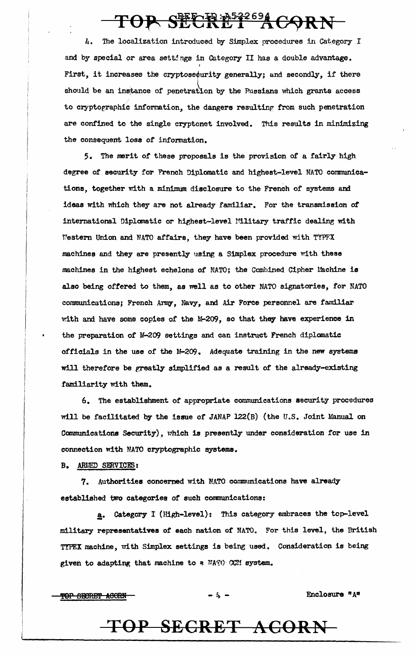## TOP SECRET ACORN

4. The localization introduced by Simplex procedures in Category I and by special or area settings in Category II has a double advantage. I First, it increases the cryptose¢urity generally; and secondly, if there should be an instance of penetration by the Russians which grants access to cryptographic information, the dangers resulting from such penetration are confined to the single cryptonet involved.. This results in minimizing the consequent loss or information.

5. The merit of these proposals is the provision of a fairly high degree of security for French Diplomatic and highest-level NATO conmunications, together with a minimum disclosure to the French of systems am ideas with which they are not already familiar. For the transmission of international Diplomatic or highest-level Military traffic dealing with Western Union and NATO affairs, they have been provided with TYPFX machines and they are presently using a Simplex procedure with these machines in the highest echelons of NATO; the Combined Cipher Machine is also being offered to them, as well as to other NATO signatories, for NATO communications; French Army, Navy, and Air Force personnel are familiar with and have some copies of the M-209, so that they have experience in the preparation of M-209 settings and can instruct French diplomatic officials in the use of the lf-209. Adequate training in the new systems will therefore be greatly simplified as a result of the already-existing familiarity with them.

6. The establishment of appropriate communications security procedures will be facilitated by the issue of JANAP  $122(B)$  (the U.S. Joint Manual on Communications Security), which is presently under consideration for use in connection with NATO cryptographic systems.

B. ARLED SERVICES:

7. Authorities concerned with NATO communications have already established two categories of such conmunications:

§• category 1 (High-level): This category embraces the top-level military representatives of each nation of NATO, For this level, the British TYPEX machine, with Simplex settings is being used. Consideration is being given to adapting that machine to a NATO CCM system.

 $\text{TOP}$  SECRET ACORN - t,  $\frac{1}{2}$  - Enclosure "A"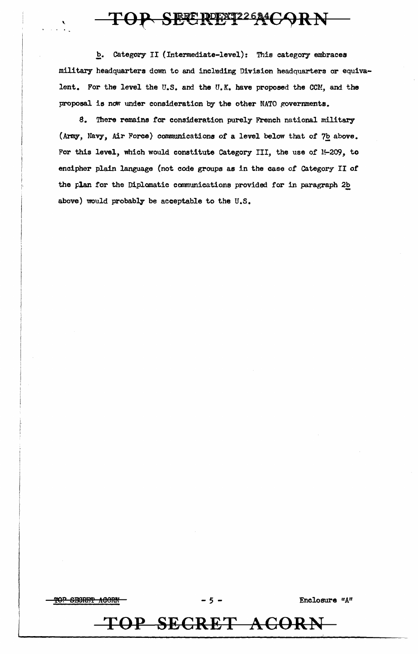### TOP SECRETZZ644CORN

b. Category II (Intermediate-level): This category embraces military headquarters down to and including Division headquarters or equivalent. For the level the U.S. and the U.K. have proposed the CCM, and the proposal is now under consideration by the other NATO governments.

8. There remains for consideration purely French national military (Army, Navy, Air Force) communications of a level below that of 7b above. For this level, which would constitute Category III, the use of M-209, to eneipher plain language {not code groups as in the case of Category II or the plan for the Diplomatic communications provided for in paragraph 2b above) would probably be acceptable to the U.S.

~p SPBRF.i'i' A60RN - *5* - Enclosure "A"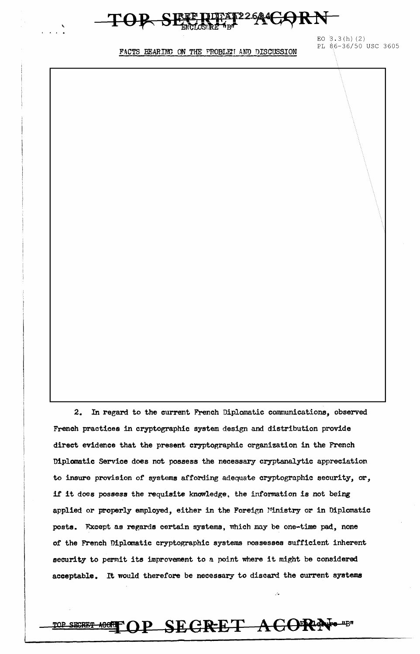#### FF226ACORN <del>TOP SE</del>

EO  $3.3(h)$  (2) PL S6-36/50 USC 3605

FACTS BEARING ON THE PROBLErT AND DISCUSSION

\.

2. In regard to the current French Diplomatic communications, observed French practices in cryptographic system design and distribution provide direct evidence that the present cryptographic organization in the French Diplomatic Service does not possess the necessary cryptanalytic appreciation to insure provision of systems affording adequate cryptographic security, *ar,*  if it does possess the requisite knowledge. the information is not being applied or properly employed, either in the Foreign Ministry or in Diplomatic posts. Fxcept as regards certain systems, which may be one-time pad, none of the French Diplomatic cryptographic systems nossesses sufficient inherent security to permit its improvement to a point where it might be considered acceptable. It would therefore be necessary to discard the current systems

DOR SECRET ACORN-B"

.-· ..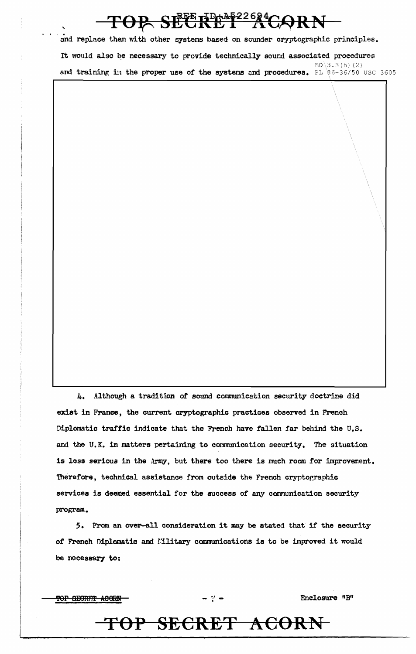### TOP SECRET ACORN

.<br>.<br>... and replace them with other systems based on sounder cryptographic principles. It would also be necessary to provide technically sound associated procedures  $EO \3.3 (h) (2)$ and training in the proper use of the systems and procedures. PL  $86-36/50$  USC 3605

4. Although a tradition of sound communication security doctrine did exist in France, the current cryptographic practices observed in French Diplomatic traffic indicate that the French have fallen far behind the U.S. and the U.K. in matters pertaining to communication security. The situation is less serious in the Army, but there too there is much room for improvement. 'Iherefore, technical assistance from outside the French cryptographic services is deemed essential for the success of any communication security program.

*5.* From an over-all consideration it may be stated that if the security of French Diplomatic and Military communications is to be improved it would be necessary to:

TOP SECRET ACORN

Enclosure "B"

## **TOP SECRET ACORN**

- *•.J* . -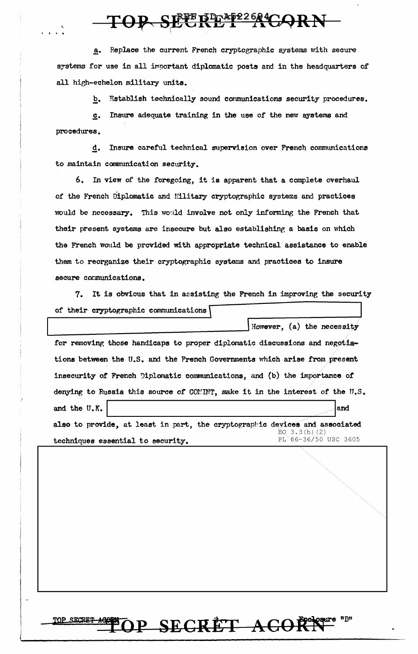OP SEERET AGORN

Replace the current French cryptographic systems with secure a. systems for use in all important diplomatic posts and in the headquarters of all high-echelon military units.

> Establish technically sound communications security procedures.  $\mathbf{b}_{\bullet}$

Insure adequate training in the use of the new systems and  $c<sub>1</sub>$ procedures.

Insure careful technical supervision over French communications  $d_{\bullet}$ to maintain communication security.

6. In view of the foregoing, it is apparent that a complete overhaul of the French Diplomatic and Military cryptographic systems and practices would be necessary. This would involve not only informing the French that their present systems are insecure but also establishing a basis on which the French would be provided with appropriate technical assistance to enable them to reorganize their cryptographic systems and practices to insure secure communications.

It is obvious that in assisting the French in improving the security 7. of their cryptographic communications

However, (a) the necessity for removing those handicaps to proper diplomatic discussions and negotiations between the U.S. and the French Governments which arise from present insecurity of French Diplomatic communications, and (b) the importance of denying to Russia this source of COMINT, make it in the interest of the U.S. and the U.K. and also to provide, at least in part, the cryptographic devices and associated EQ  $3.3(h)(2)$ PL 86-36/50 USC 3605

techniques essential to security.

OP SECRET ACORN<sup>essere</sup> uBn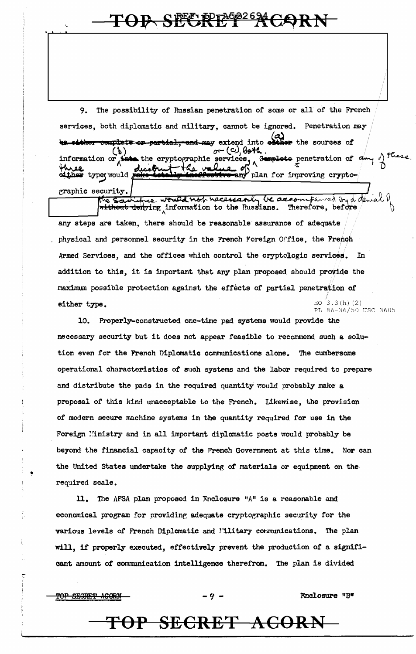### TOP SECRETZ2624

9. The possibility of Russian penetration of some or all of the French services, both diplomatic and military, cannot be ignored. Penetration may complete or partial, and may extend into elther the sources of  $\sigma$  (c), both the cryptographic services,  $\wedge$ Gemplote penetration of  $\frac{d}{dx}$ information or diset the val **twee**<br>sither type would any plan for improving cryptographic security.

be accompanied by a demal three would not necessarily without dehying information to the Russians. Therefore, before any steps are taken, there should be reasonable assurance of adequate physical and personnel security in the French Foreign Office, the French Armed Services, and the offices which control the cryptologic services. In addition to this, it is important that any plan proposed should provide the maximum possible protection against the effects of partial penetration of EO  $3.3(h)$  (2) either type. PL 86-36/50 USC 3605

10. Properly-constructed one-time pad systems would provide the necessary security but it does not appear feasible to recommend such a solution even for the French Diplomatic communications alone. The cumbersome operational characteristics of such systems and the labor required to prepare and distribute the pads in the required quantity would probably make a proposal of this kind unacceptable to the French. Likewise, the provision of modern secure machine systems in the quantity required for use in the Foreign Ministry and in all important diplomatic posts would probably be beyond the financial capacity of the French Government at this time. Nor can the United States undertake the supplying of materials or equipment on the required scale.

The AFSA plan proposed in Enclosure "A" is a reasonable and 11. economical program for providing adequate cryptographic security for the various levels of French Diplomatic and Military communications. The plan will, if properly executed, effectively prevent the production of a significant amount of communication intelligence therefrom. The plan is divided

TOP SECRET ACORN

TOP SECRET ACORN

Fnclosure "B"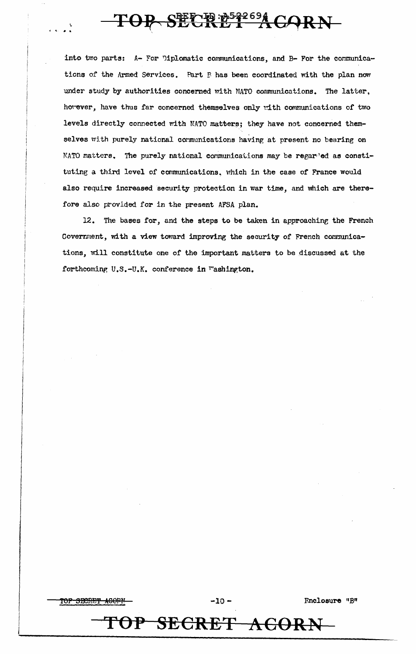## SECRE<sup>33269</sup> CORN-

into two parts: A- For Diplomatic communications, and B- For the communications of the Armed Services. Part P has been coordinated with the plan now under study by authorities concerned with NATO communications. The latter, however, have thus far concerned themselves only with communications of two levels directly connected with NATO matters; they have not concerned themselves with purely national communications having at present no bearing on NATO matters. The purely national communications may be regarded as constituting a third level of communications, which in the case of France would also require increased security protection in war time, and which are therefore also provided for in the present AFSA plan.

12. The bases for, and the steps to be taken in approaching the French Covernment, with a view toward improving the security of French communications, will constitute one of the important matters to be discussed at the forthcoming U.S.-U.K. conference in Tashington.



Fnclosure "B"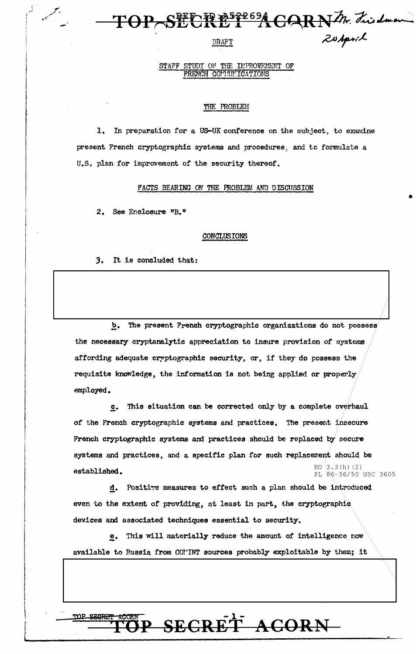### DRAFT DRAFT

#### STAFF STUDY ON THE IMPROVEMENT OF FRENCH COMMUNICATIONS

#### THE PROBLEM

1. In preparation for a US-UK conference on the subject, to examine present French cryptographic systems and procedures, and to formulate a U.S. plan for improvement of the security thereof.

FACTS BEARING ON THE FROBLEM AND DISCUSSION

2. See Enclosure "B."

#### CONCLUSIONS

*3.* It is concluded that:

b. The present French cryptographic organizations do not possess the necessary- cryptanalytic appreciation to insure provision of systems affording adequate cryptographic security, or, if they do possess the requisite knowledge, the information is not being applied or properly employed.

*//* 

•

~· This situation can be corrected only by a complete overhaul of the French cryptographic systems and practices. The present insecure French cryptographic systems and practices should be replaced by secure systems and practices, and a specific plan for such replacement should be EO  $3.3(h)$  (2)  $established.$  PL  $\frac{2}{9.36/50}$  USC 3605

d. Positive measures to effect such a plan should be introduced even to the extent of providing, at least in part, the cryptographic devices and associated techniques essential to security.

e. This will materially reduce the amount of intelligence now available to Russia from CON'INT sources probably exploitable by them; it



|<br>|<br>|-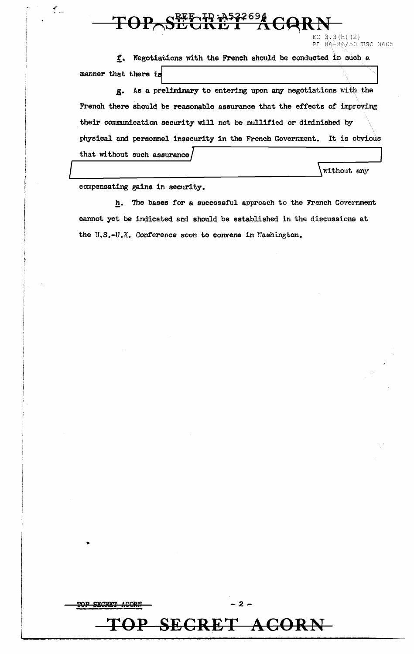$\text{TOP\_S}\xrightarrow{\text{RF}}\mathbb{R} \xrightarrow{\text{A522694}}$ 

EO  $3.3(h)$  (2) PL 86-36/50 USC 3605

f. Negotiations with the French should be conducted in such a manner that there is

.S• As a preliminary to entering upon any negotiations With the French there should be reasonable assurance that the effects of improving their communication security will not be nullified or diminished by physical and personnel insecurity in the French Government. It is obvious that without such assurance *J*<br>  $\sqrt{\text{without any}}$ <br>
compensating gains in security.

العلم.<br>بالا الم

•

**TOP SECRET** 

h. The bases for a successful approach to the French Government cannot yet be indicated and should be established in the discussions at the U.S.-U.K. Conference soon to convene in Washington.



-2~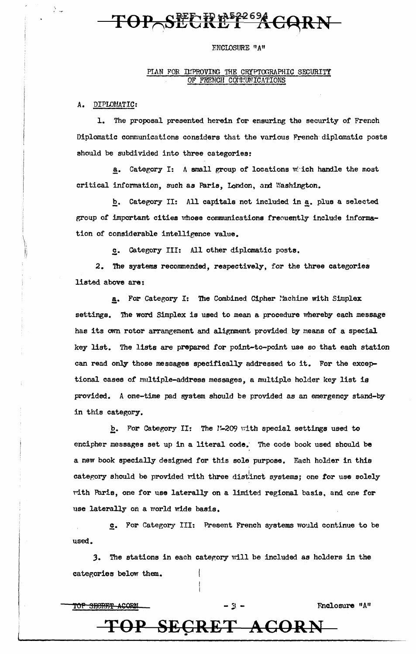## $\text{TP}-\text{SEERRE2694}}\text{GARN}-$

#### ENCLOSURE "A"

#### PIAN FOR DEPROVING THE CRYPTOGRAPHIC SECURITY OF FRENCH COLLUNICATIONS

*A.* DIPLOUATIC:

\  $\mathcal{J}$  $\mathfrak{g}$ i,i

1. The proposal presented herein for ensuring the security of French Diplomatic communications considers that the various French· diplomatic posts should be subdivided into three categories:

a. Category I: A small group of locations which handle the most critical information, such as Paris, London, and Washington.

b. Category II: All capitals not included in a. plus a selected group of important cities whose communications freouently include information of considerable intelligence value.

s\_. Category III: All other diplomatic posts.

2. The systems recommended, respectively, for the three categories listed above are:

a. For Category I: The Combined Cipher l'achine with Simplex settings. The word Simplex is used to mean a procedure whereby each message has its own rotor arrangement and alignment provided by means of a special key list. The lists are prepared for point-to-point use so that each station can read only those messages specifically addressed to it. For the exceptional cases of multiple-address messages, a multiple holder key list is provided. A one-time pad system should be provided as an emergency stand-by in this category.

b. For Category II: The 1-209 with special settings used to encipher messages set up in a literal code; The code book used should be a new book specially designed for this sole purpose. Each holder in this category should be provided with three distinct systems; one for use solely Ydth Paris, one for use laterally on a limited regional basis, and one for use laterally on a world wide basis.

 $c.$  For Category III: Present French systems would continue to be used.

3. The stations in each category will be included as holders in the categories below them.

TOP SECRET ACORN - :  $\frac{1}{2}$  - Fnclosure "A"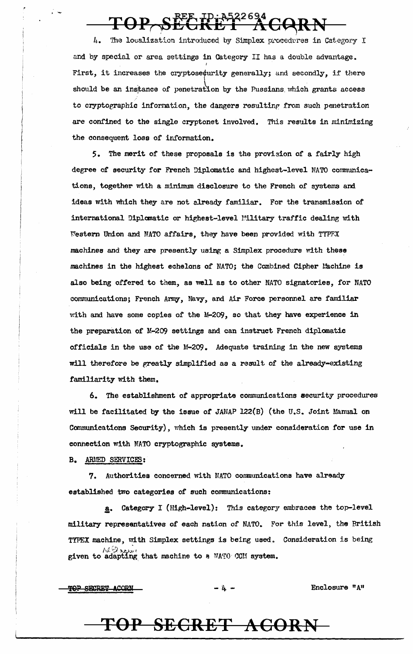## TOP SECRET ACQR

The localization introduced by Simplex procedures in Category I 4. and by special or area settings in Category II has a double advantage. I First, it increases the cryptose¢urity generally; and secondly, if there should be an instance of penetration by the Pussians which grants access to cryptographic information, the dangers resulting from such penetration are confined to the single cryptonet involved. This results in minimizing the consequent loss of information.

5. The merit of these proposals is the provision of a fairly high degree of security for French Diplomatic and highest-level NATO communications, together with a minimum disclosure to the French of systems and ideas with which they are not already familiar. For the transmission of international Diplanatic or highest-level Pilitary traffic dealing with Western Union and NATO affairs, they have been provided with TYPFX machines and they are presently using a Simplex procedure with these machines in the highest echelons of NATO; the Combined Cipher Machine is also being offered to them, as well as to other NATO signatories, for NATO communications; French Army, Navy, and Air Force personnel are familiar with and have some copies of the M-209, so that they have experience in the preparation of M-209 settings and can instruct French diplomatic officials in the use of the M-209. Adequate training in the new systems will therefore be greatly simplified as a result of the already-existing familiarity with them.

6. The establishment of appropriate communications security procedures will be facilitated by the issue of JANAP 122(B) (the U.S. Joint Manual on Communications Security), which is presently under consideration for use in connection with NATO cryptographic systems.

B. ARMED SERVICES:

' -

7. Authorities concerned with NATO communications have already established two categories of such communications:

a. Category I (High-level): This category embraces the top-level<br>military representatives of each nation of NATO. For this level, the British TYPEX machine, with Simplex settings is being used. Consideration is being given to adapting that machine to a NATO CCM system.

 $\frac{1}{2}$   $\frac{1}{2}$   $\frac{1}{2}$   $\frac{1}{2}$  Enclosure  $\frac{1}{4}$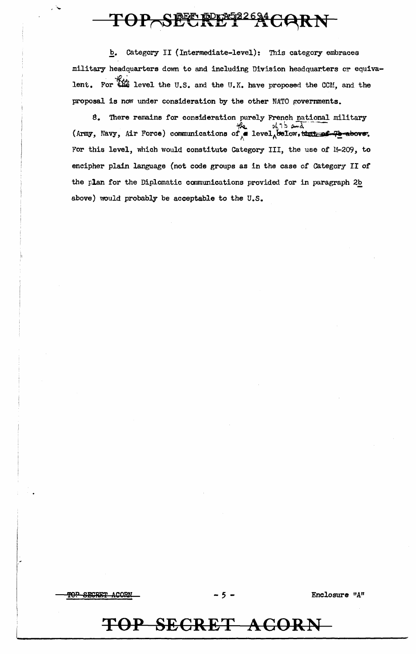### TOP SECRETZ RG24 CORN

b. Category II (Intermediate-level): This category embraces military headquarters down to and including Division headquarters or equivalent. For the level the U.S. and the U.K. have proposed the CCM, and the proposal is now under consideration by the other NATO governments.

8. There remains for consideration purely French national military  $9675$  and (Army, Navy, Air Force) communications of a level, below, that of 7b above. For this level, which would constitute Category III, the use of M-209, to encipher plain language (not code groups as in the case of Category II of the plan for the Diplomatic communications provided for in paragraph 2b above) would probably be acceptable to the U.S.

<del>TOP SECRET ACORN</del>

Enclosure "A"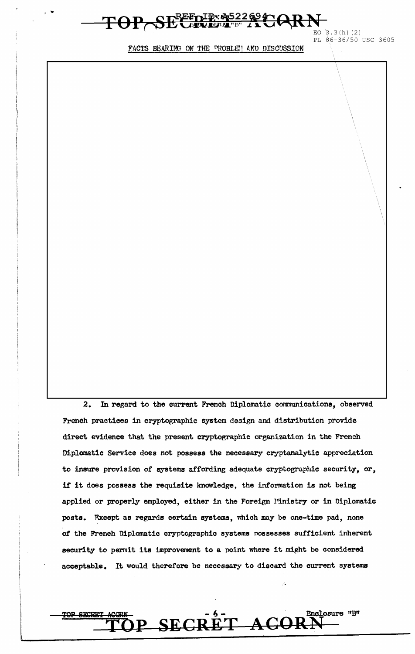# $\text{FOP}\text{-}\text{SE}\text{FDP}$  as 22 a  $\text{CORN}$   $\text{E}$  . 3 (h) (2)

PL S6-36/50 USC 3605

FACTS BEARING ON THE PROBLEH AND DISCUSSION

2. In regard to the current French Diplomatic communications, observed French practices in cryptographic system design and distribution provide direct evidence that the present cryptographic organization in the French Diplomatic Service does not possess the necessary cryptanalytic appreciation to insure provision of systems affording adequate cryptographic security, or, if it does possess the requisite knowledge, the information is not being applied or properly employed, either in the Foreign Ministry or in Diplomatic posts. Fxcept as regards certain systems, which may be one-time pad, none of the French Diplomatic cryptographic systems possesses sufficient inherent security to permit its improvement to a point where it might be considered acceptable. It would therefore be necessary to discard the current systems

 $-6-$ 

SECRET ACORN

Enclosure "B"

' ' \ I.

, ....

 $\mathsf L$ 

TOP SECRET ACORN

**TOP**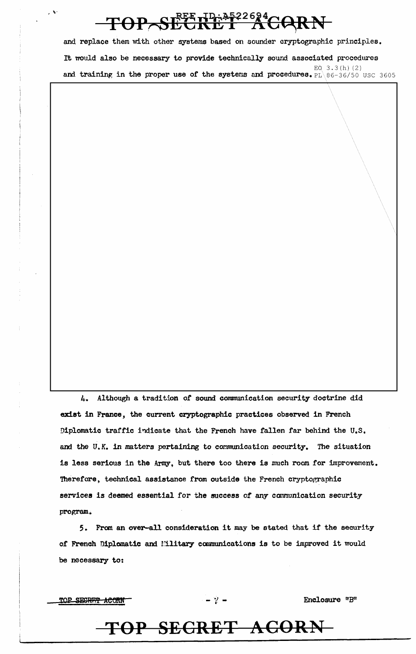## TOP SECRET ACARN

and replace them with other systems based on sounder cryptographic principles. It would also be necessary to provide technically sound associated procedures  $EQ$  3.3(h)(2) and training in the proper use of the systems and procedures. PL\86-36/50 use 3605

4. Although a tradition of sound communication security doctrine did exist in France, the current cryptographic practices observed in French Diplomatic traffic indicate that the French have fallen far behind the U.S. and the U.K. in matters pertaining to communication security. The situation is less serious in the Army, but there too there is much room for improvement. 'Iherefore, technical assistance from outside the French cryptographic services is deemed essential for the success of any communication security program.

*5.* From an over-all consideration it may be stated that if the security of French Diplomatic and Military communications is to be improved it would be necessary to:

TOP SECRET ACORN

 $\mathcal{A}$ 

 $\frac{1}{2}$   $-$  Enclosure "B"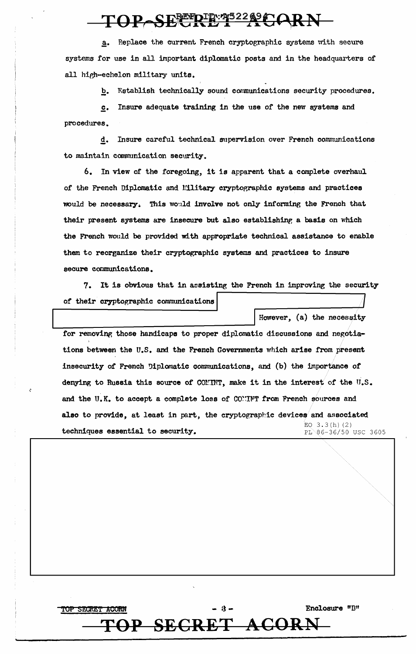### TOP SECRET ACA

a. Replace the current French cryptographic systems with secure systems for use in all important diplomatic posts and in the headquarters of all high-echelon military units.

b. Establish technically sound communications security procedures.

c. Insure adequate training in the use of the new systems and procedures.

g. Insure careful technical supervision over French communications to maintain communication security.

6. In view of the foregoing, it is apparent that a complete overhaul of the French Diplomatic and Military cryptographic systems and practices would be necessary. This would involve not only informing the French that their present systems are insecure but also establishing a basis on which the French would be provided with appropriate technical assistance to enable them to reorganize their cryptographic systems and practices to insure secure communications.

7. It is obvious that in assisting the French in improving the security of their cryptographic communications

for removing those handicaps to proper diplomatic discussions and negotiations between the U.S. and the French Governments which arise from present insecurity of French Diplomatic communications, and (b) the importance of denying to Russia this source of COMINT, make it in the interest of the U.S. and the U.K. to accept a complete loss of CONTNT from French sources and also to provide, at least in part, the cryptographic devices and associated  $EO$  3.3(h)(2)<br> $PL \$ 86-36/50 USC 3605 techniques essential to security.

TOP SECRET ACORN -  $\mathcal{A}$  -  $\mathcal{A}$  - Enclosure "B"

However, (a) the necessity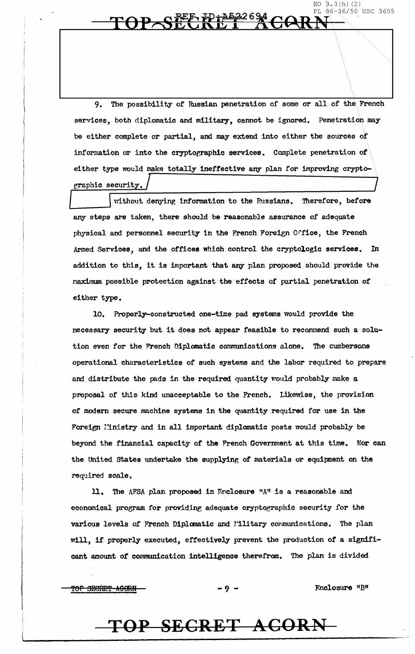The possibility of Russian penetration of some or all of the French 9. services, both diplomatic and military, cannot be ignored. Penetration may be either complete or partial, and may extend into either the sources of information or into the cryptographic services. Complete penetration of either type would make totally ineffective any plan for improving cryptographic security.

without denying information to the Russians. Therefore, before any steps are taken, there should be reasonable assurance of adequate physical and personnel security in the French Foreign Office, the French Armed Services, and the offices which control the cryptologic services. In addition to this, it is important that any plan proposed should provide the maximum possible protection against the effects of partial penetration of either type.

10. Properly-constructed one-time pad systems would provide the necessary security but it does not appear feasible to recommend such a solution even for the French Diplomatic communications alone. The cumbersome operational characteristics of such systems and the labor required to prepare and distribute the pads in the required quantity would probably make a proposal of this kind unacceptable to the French. Likewise, the provision of modern secure machine systems in the quantity required for use in the Foreign Ministry and in all important diplomatic posts would probably be beyond the financial capacity of the French Government at this time. Nor can the United States undertake the supplying of materials or equipment on the required scale.

11. The AFSA plan proposed in Faclosure "A" is a reasonable and economical program for providing adequate cryptographic security for the various levels of French Diplomatic and Military communications. The plan will, if properly executed, effectively prevent the production of a significant amount of communication intelligence therefrom. The plan is divided

TOP SECRET AGORN

Fnclosure "B"